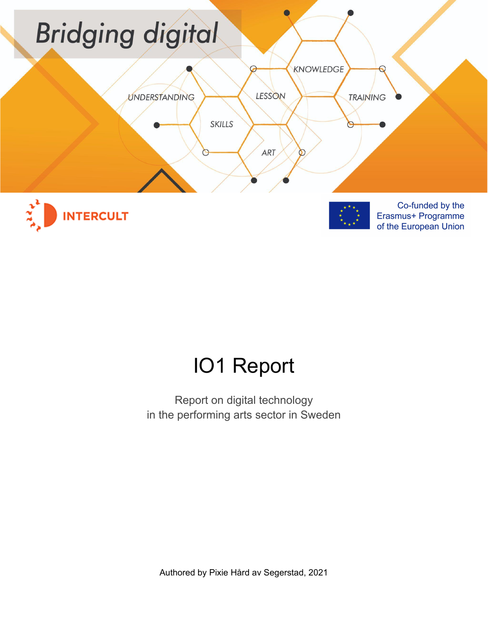

# IO1 Report

Report on digital technology in the performing arts sector in Sweden

Authored by Pixie Hård av Segerstad, 2021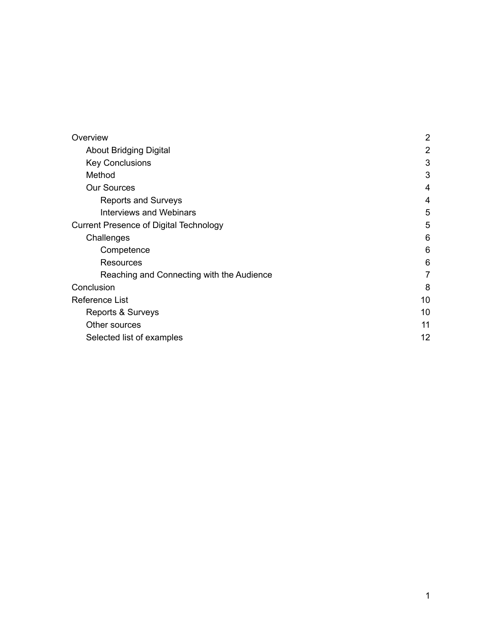| Overview                                      | $\overline{2}$ |
|-----------------------------------------------|----------------|
| <b>About Bridging Digital</b>                 | $\overline{2}$ |
| <b>Key Conclusions</b>                        | 3              |
| Method                                        | 3              |
| <b>Our Sources</b>                            | 4              |
| <b>Reports and Surveys</b>                    | $\overline{4}$ |
| Interviews and Webinars                       | 5              |
| <b>Current Presence of Digital Technology</b> | 5              |
| Challenges                                    | 6              |
| Competence                                    | 6              |
| Resources                                     | 6              |
| Reaching and Connecting with the Audience     | 7              |
| Conclusion                                    | 8              |
| Reference List                                | 10             |
| Reports & Surveys                             | 10             |
| Other sources                                 | 11             |
| Selected list of examples                     | 12             |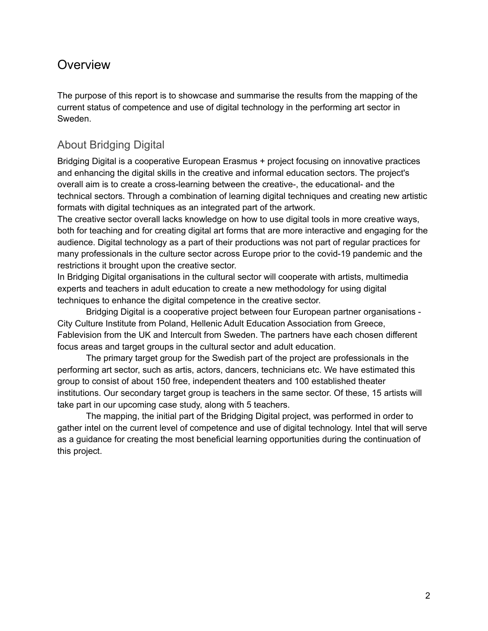# <span id="page-2-0"></span>**Overview**

The purpose of this report is to showcase and summarise the results from the mapping of the current status of competence and use of digital technology in the performing art sector in Sweden.

# <span id="page-2-1"></span>About Bridging Digital

Bridging Digital is a cooperative European Erasmus + project focusing on innovative practices and enhancing the digital skills in the creative and informal education sectors. The project's overall aim is to create a cross-learning between the creative-, the educational- and the technical sectors. Through a combination of learning digital techniques and creating new artistic formats with digital techniques as an integrated part of the artwork.

The creative sector overall lacks knowledge on how to use digital tools in more creative ways, both for teaching and for creating digital art forms that are more interactive and engaging for the audience. Digital technology as a part of their productions was not part of regular practices for many professionals in the culture sector across Europe prior to the covid-19 pandemic and the restrictions it brought upon the creative sector.

In Bridging Digital organisations in the cultural sector will cooperate with artists, multimedia experts and teachers in adult education to create a new methodology for using digital techniques to enhance the digital competence in the creative sector.

Bridging Digital is a cooperative project between four European partner organisations - City Culture Institute from Poland, Hellenic Adult Education Association from Greece, Fablevision from the UK and Intercult from Sweden. The partners have each chosen different focus areas and target groups in the cultural sector and adult education.

The primary target group for the Swedish part of the project are professionals in the performing art sector, such as artis, actors, dancers, technicians etc. We have estimated this group to consist of about 150 free, independent theaters and 100 established theater institutions. Our secondary target group is teachers in the same sector. Of these, 15 artists will take part in our upcoming case study, along with 5 teachers.

The mapping, the initial part of the Bridging Digital project, was performed in order to gather intel on the current level of competence and use of digital technology. Intel that will serve as a guidance for creating the most beneficial learning opportunities during the continuation of this project.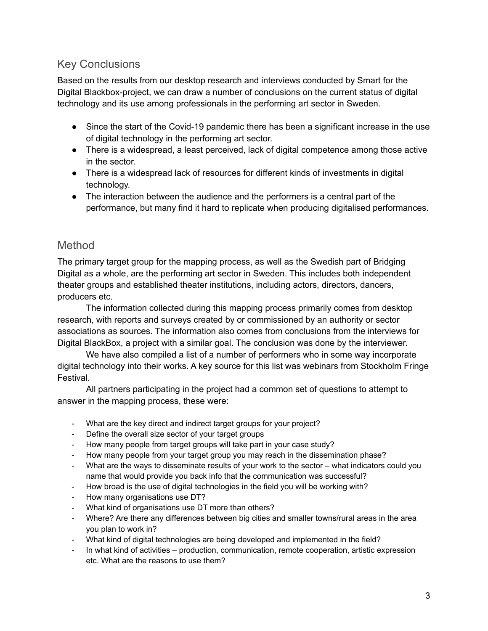## <span id="page-3-0"></span>Key Conclusions

Based on the results from our desktop research and interviews conducted by Smart for the Digital Blackbox-project, we can draw a number of conclusions on the current status of digital technology and its use among professionals in the performing art sector in Sweden.

- Since the start of the Covid-19 pandemic there has been a significant increase in the use of digital technology in the performing art sector.
- There is a widespread, a least perceived, lack of digital competence among those active in the sector.
- There is a widespread lack of resources for different kinds of investments in digital technology.
- The interaction between the audience and the performers is a central part of the performance, but many find it hard to replicate when producing digitalised performances.

## <span id="page-3-1"></span>Method

The primary target group for the mapping process, as well as the Swedish part of Bridging Digital as a whole, are the performing art sector in Sweden. This includes both independent theater groups and established theater institutions, including actors, directors, dancers, producers etc.

The information collected during this mapping process primarily comes from desktop research, with reports and surveys created by or commissioned by an authority or sector associations as sources. The information also comes from conclusions from the interviews for Digital BlackBox, a project with a similar goal. The conclusion was done by the interviewer.

We have also compiled a list of a number of performers who in some way incorporate digital technology into their works. A key source for this list was webinars from Stockholm Fringe Festival.

All partners participating in the project had a common set of questions to attempt to answer in the mapping process, these were:

- What are the key direct and indirect target groups for your project?
- Define the overall size sector of your target groups
- How many people from target groups will take part in your case study?
- How many people from your target group you may reach in the dissemination phase?
- What are the ways to disseminate results of your work to the sector what indicators could you name that would provide you back info that the communication was successful?
- How broad is the use of digital technologies in the field you will be working with?
- How many organisations use DT?
- What kind of organisations use DT more than others?
- Where? Are there any differences between big cities and smaller towns/rural areas in the area you plan to work in?
- What kind of digital technologies are being developed and implemented in the field?
- In what kind of activities production, communication, remote cooperation, artistic expression etc. What are the reasons to use them?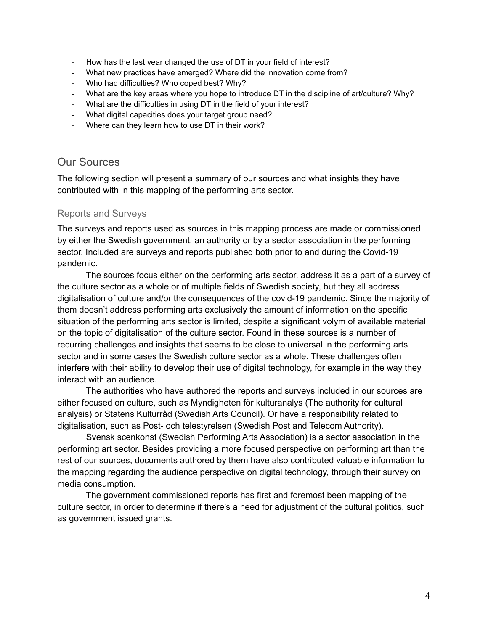- How has the last year changed the use of DT in your field of interest?
- What new practices have emerged? Where did the innovation come from?
- Who had difficulties? Who coped best? Why?
- What are the key areas where you hope to introduce DT in the discipline of art/culture? Why?
- What are the difficulties in using DT in the field of your interest?
- What digital capacities does your target group need?
- Where can they learn how to use DT in their work?

#### <span id="page-4-0"></span>Our Sources

The following section will present a summary of our sources and what insights they have contributed with in this mapping of the performing arts sector.

#### <span id="page-4-1"></span>Reports and Surveys

The surveys and reports used as sources in this mapping process are made or commissioned by either the Swedish government, an authority or by a sector association in the performing sector. Included are surveys and reports published both prior to and during the Covid-19 pandemic.

The sources focus either on the performing arts sector, address it as a part of a survey of the culture sector as a whole or of multiple fields of Swedish society, but they all address digitalisation of culture and/or the consequences of the covid-19 pandemic. Since the majority of them doesn't address performing arts exclusively the amount of information on the specific situation of the performing arts sector is limited, despite a significant volym of available material on the topic of digitalisation of the culture sector. Found in these sources is a number of recurring challenges and insights that seems to be close to universal in the performing arts sector and in some cases the Swedish culture sector as a whole. These challenges often interfere with their ability to develop their use of digital technology, for example in the way they interact with an audience.

The authorities who have authored the reports and surveys included in our sources are either f*o*cused on culture, such as Myndigheten för kulturanalys (The authority for cultural analysis) or Statens Kulturråd (Swedish Arts Council). Or have a responsibility related to digitalisation, such as Post- och telestyrelsen (Swedish Post and Telecom Authority).

Svensk scenkonst (Swedish Performing Arts Association) is a sector association in the performing art sector. Besides providing a more focused perspective on performing art than the rest of our sources, documents authored by them have also contributed valuable information to the mapping regarding the audience perspective on digital technology, through their survey on media consumption.

The government commissioned reports has first and foremost been mapping of the culture sector, in order to determine if there's a need for adjustment of the cultural politics, such as government issued grants.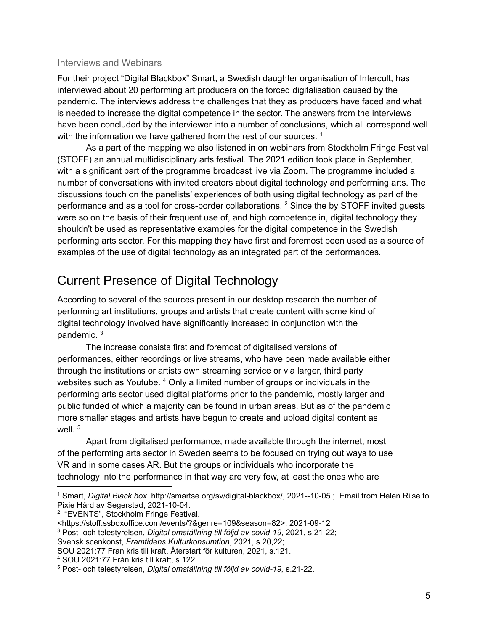#### <span id="page-5-0"></span>Interviews and Webinars

For their project "Digital Blackbox" Smart, a Swedish daughter organisation of Intercult, has interviewed about 20 performing art producers on the forced digitalisation caused by the pandemic*.* The interviews address the challenges that they as producers have faced and what is needed to increase the digital competence in the sector. The answers from the interviews have been concluded by the interviewer into a number of conclusions, which all correspond well with the information we have gathered from the rest of our sources.  $^1$ 

As a part of the mapping we also listened in on webinars from Stockholm Fringe Festival (STOFF) an annual multidisciplinary arts festival. The 2021 edition took place in September, with a significant part of the programme broadcast live via Zoom. The programme included a number of conversations with invited creators about digital technology and performing arts. The discussions touch on the panelists' experiences of both using digital technology as part of the performance and as a tool for cross-border collaborations. <sup>2</sup> Since the by STOFF invited guests were so on the basis of their frequent use of, and high competence in, digital technology they shouldn't be used as representative examples for the digital competence in the Swedish performing arts sector. For this mapping they have first and foremost been used as a source of examples of the use of digital technology as an integrated part of the performances.

# <span id="page-5-1"></span>Current Presence of Digital Technology

According to several of the sources present in our desktop research the number of performing art institutions, groups and artists that create content with some kind of digital technology involved have significantly increased in conjunction with the pandemic. 3

The increase consists first and foremost of digitalised versions of performances, either recordings or live streams, who have been made available either through the institutions or artists own streaming service or via larger, third party websites such as Youtube. <sup>4</sup> Only a limited number of groups or individuals in the performing arts sector used digital platforms prior to the pandemic, mostly larger and public funded of which a majority can be found in urban areas. But as of the pandemic more smaller stages and artists have begun to create and upload digital content as well. 5

Apart from digitalised performance, made available through the internet, most of the performing arts sector in Sweden seems to be focused on trying out ways to use VR and in some cases AR. But the groups or individuals who incorporate the technology into the performance in that way are very few, at least the ones who are

<sup>3</sup> Post- och telestyrelsen, *Digital omställning till följd av covid-19*, 2021, s.21-22;

<sup>1</sup> Smart, *Digital Black box.* http://smartse.org/sv/digital-blackbox/, 2021--10-05.; Email from Helen Riise to Pixie Hård av Segerstad, 2021-10-04.

<sup>&</sup>lt;sup>2</sup> "EVENTS", Stockholm Fringe Festival.

<sup>&</sup>lt;https://stoff.ssboxoffice.com/events/?&genre=109&season=82>, 2021-09-12

Svensk scenkonst, *Framtidens Kulturkonsumtion*, 2021, s.20,22;

SOU 2021:77 Från kris till kraft. Återstart för kulturen, 2021, s.121.

<sup>4</sup> SOU 2021:77 Från kris till kraft, s.122.

<sup>5</sup> Post- och telestyrelsen, *Digital omställning till följd av covid-19,* s.21-22.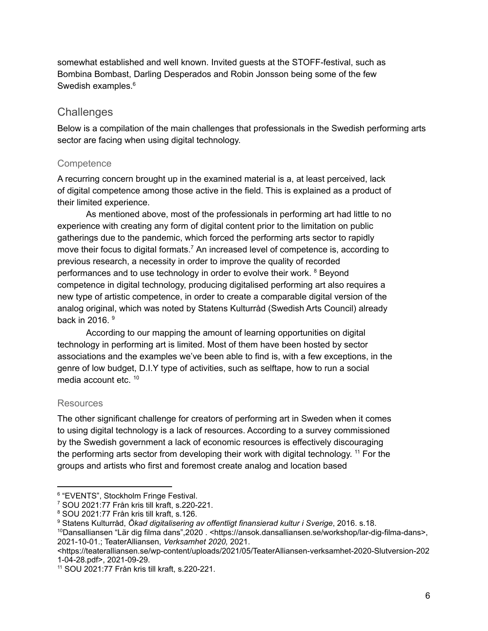somewhat established and well known. Invited guests at the STOFF-festival, such as Bombina Bombast, Darling Desperados and Robin Jonsson being some of the few Swedish examples.<sup>6</sup>

## <span id="page-6-0"></span>**Challenges**

Below is a compilation of the main challenges that professionals in the Swedish performing arts sector are facing when using digital technology.

#### <span id="page-6-1"></span>**Competence**

A recurring concern brought up in the examined material is a, at least perceived, lack of digital competence among those active in the field. This is explained as a product of their limited experience.

As mentioned above, most of the professionals in performing art had little to no experience with creating any form of digital content prior to the limitation on public gatherings due to the pandemic, which forced the performing arts sector to rapidly move their focus to digital formats.<sup>7</sup> An increased level of competence is, according to previous research, a necessity in order to improve the quality of recorded performances and to use technology in order to evolve their work. <sup>8</sup> Beyond competence in digital technology, producing digitalised performing art also requires a new type of artistic competence, in order to create a comparable digital version of the analog original, which was noted by Statens Kulturråd (Swedish Arts Council) already back in 2016. 9

According to our mapping the amount of learning opportunities on digital technology in performing art is limited. Most of them have been hosted by sector associations and the examples we've been able to find is, with a few exceptions, in the genre of low budget, D.I.Y type of activities, such as selftape, how to run a social media account etc. 10

#### <span id="page-6-2"></span>**Resources**

The other significant challenge for creators of performing art in Sweden when it comes to using digital technology is a lack of resources. According to a survey commissioned by the Swedish government a lack of economic resources is effectively discouraging the performing arts sector from developing their work with digital technology. <sup>11</sup> For the groups and artists who first and foremost create analog and location based

<sup>6</sup> "EVENTS", Stockholm Fringe Festival.

<sup>7</sup> SOU 2021:77 Från kris till kraft, s.220-221.

<sup>8</sup> SOU 2021:77 Från kris till kraft, s.126.

<sup>9</sup> Statens Kulturråd, *Ökad digitalisering av offentligt finansierad kultur i Sverige*, 2016. s.18.

<sup>10</sup>Dansalliansen "Lär dig filma dans",2020 . <https://ansok.dansalliansen.se/workshop/lar-dig-filma-dans>, 2021-10-01.; TeaterAlliansen, *Verksamhet 2020,* 2021.

<sup>&</sup>lt;https://teateralliansen.se/wp-content/uploads/2021/05/TeaterAlliansen-verksamhet-2020-Slutversion-202 1-04-28.pdf>, 2021-09-29.

<sup>11</sup> SOU 2021:77 Från kris till kraft, s.220-221.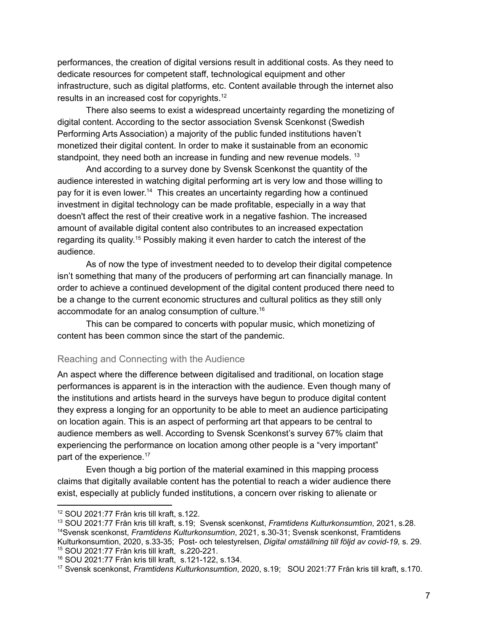performances, the creation of digital versions result in additional costs. As they need to dedicate resources for competent staff, technological equipment and other infrastructure, such as digital platforms, etc. Content available through the internet also results in an increased cost for copyrights.<sup>12</sup>

There also seems to exist a widespread uncertainty regarding the monetizing of digital content. According to the sector association Svensk Scenkonst (Swedish Performing Arts Association) a majority of the public funded institutions haven't monetized their digital content. In order to make it sustainable from an economic standpoint, they need both an increase in funding and new revenue models.<sup>13</sup>

And according to a survey done by Svensk Scenkonst the quantity of the audience interested in watching digital performing art is very low and those willing to pay for it is even lower.<sup>14</sup> This creates an uncertainty regarding how a continued investment in digital technology can be made profitable, especially in a way that doesn't affect the rest of their creative work in a negative fashion. The increased amount of available digital content also contributes to an increased expectation regarding its quality. <sup>15</sup> Possibly making it even harder to catch the interest of the audience.

As of now the type of investment needed to to develop their digital competence isn't something that many of the producers of performing art can financially manage. In order to achieve a continued development of the digital content produced there need to be a change to the current economic structures and cultural politics as they still only accommodate for an analog consumption of culture. 16

This can be compared to concerts with popular music, which monetizing of content has been common since the start of the pandemic.

#### <span id="page-7-0"></span>Reaching and Connecting with the Audience

An aspect where the difference between digitalised and traditional, on location stage performances is apparent is in the interaction with the audience. Even though many of the institutions and artists heard in the surveys have begun to produce digital content they express a longing for an opportunity to be able to meet an audience participating on location again. This is an aspect of performing art that appears to be central to audience members as well. According to Svensk Scenkonst's survey 67% claim that experiencing the performance on location among other people is a "very important" part of the experience.<sup>17</sup>

Even though a big portion of the material examined in this mapping process claims that digitally available content has the potential to reach a wider audience there exist, especially at publicly funded institutions, a concern over risking to alienate or

<sup>12</sup> SOU 2021:77 Från kris till kraft, s.122.

<sup>15</sup> SOU 2021:77 Från kris till kraft, s.220-221. <sup>14</sup>Svensk scenkonst, *Framtidens Kulturkonsumtion*, 2021, s.30-31; Svensk scenkonst, Framtidens Kulturkonsumtion, 2020, s.33-35; Post- och telestyrelsen, *Digital omställning till följd av covid-19,* s. 29. <sup>13</sup> SOU 2021:77 Från kris till kraft, s.19; Svensk scenkonst, *Framtidens Kulturkonsumtion*, 2021, s.28.

<sup>16</sup> SOU 2021:77 Från kris till kraft, s.121-122, s.134.

<sup>17</sup> Svensk scenkonst, *Framtidens Kulturkonsumtion*, 2020, s.19; SOU 2021:77 Från kris till kraft, s.170.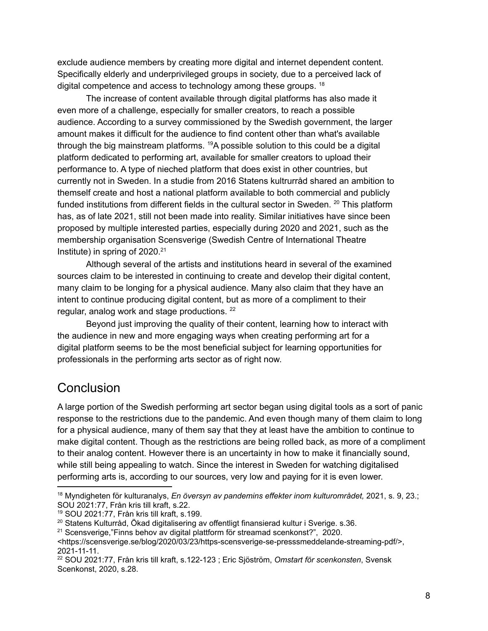exclude audience members by creating more digital and internet dependent content. Specifically elderly and underprivileged groups in society, due to a perceived lack of digital competence and access to technology among these groups. <sup>18</sup>

The increase of content available through digital platforms has also made it even more of a challenge, especially for smaller creators, to reach a possible audience. According to a survey commissioned by the Swedish government, the larger amount makes it difficult for the audience to find content other than what's available through the big mainstream platforms. <sup>19</sup>A possible solution to this could be a digital platform dedicated to performing art, available for smaller creators to upload their performance to. A type of nieched platform that does exist in other countries, but currently not in Sweden. In a studie from 2016 Statens kultrurråd shared an ambition to themself create and host a national platform available to both commercial and publicly funded institutions from different fields in the cultural sector in Sweden. <sup>20</sup> This platform has, as of late 2021, still not been made into reality. Similar initiatives have since been proposed by multiple interested parties, especially during 2020 and 2021, such as the membership organisation Scensverige (Swedish Centre of International Theatre Institute) in spring of 2020. 21

Although several of the artists and institutions heard in several of the examined sources claim to be interested in continuing to create and develop their digital content, many claim to be longing for a physical audience. Many also claim that they have an intent to continue producing digital content, but as more of a compliment to their regular, analog work and stage productions.<sup>22</sup>

Beyond just improving the quality of their content, learning how to interact with the audience in new and more engaging ways when creating performing art for a digital platform seems to be the most beneficial subject for learning opportunities for professionals in the performing arts sector as of right now.

# <span id="page-8-0"></span>**Conclusion**

A large portion of the Swedish performing art sector began using digital tools as a sort of panic response to the restrictions due to the pandemic. And even though many of them claim to long for a physical audience, many of them say that they at least have the ambition to continue to make digital content. Though as the restrictions are being rolled back, as more of a compliment to their analog content. However there is an uncertainty in how to make it financially sound, while still being appealing to watch. Since the interest in Sweden for watching digitalised performing arts is, according to our sources, very low and paying for it is even lower.

<sup>18</sup> Myndigheten för kulturanalys, *En översyn av pandemins effekter inom kulturområdet,* 2021, s. 9, 23.; SOU 2021:77, Från kris till kraft, s.22.

<sup>19</sup> SOU 2021:77, Från kris till kraft, s.199.

<sup>&</sup>lt;sup>20</sup> Statens Kulturråd, Ökad digitalisering av offentligt finansierad kultur i Sverige. s.36.

<sup>21</sup> Scensverige,"Finns behov av digital plattform för streamad scenkonst?", 2020.

<sup>&</sup>lt;https://scensverige.se/blog/2020/03/23/https-scensverige-se-presssmeddelande-streaming-pdf/>, 2021-11-11.

<sup>22</sup> SOU 2021:77, Från kris till kraft, s.122-123 ; Eric Sjöström, *Omstart för scenkonsten*, Svensk Scenkonst, 2020, s.28.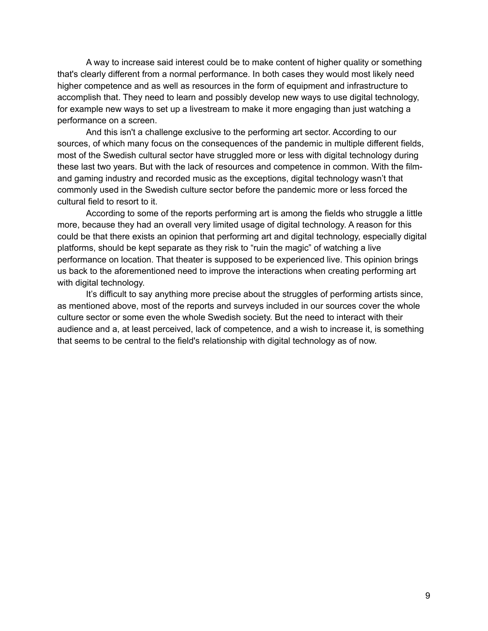A way to increase said interest could be to make content of higher quality or something that's clearly different from a normal performance. In both cases they would most likely need higher competence and as well as resources in the form of equipment and infrastructure to accomplish that. They need to learn and possibly develop new ways to use digital technology, for example new ways to set up a livestream to make it more engaging than just watching a performance on a screen.

And this isn't a challenge exclusive to the performing art sector. According to our sources, of which many focus on the consequences of the pandemic in multiple different fields, most of the Swedish cultural sector have struggled more or less with digital technology during these last two years. But with the lack of resources and competence in common. With the filmand gaming industry and recorded music as the exceptions, digital technology wasn't that commonly used in the Swedish culture sector before the pandemic more or less forced the cultural field to resort to it.

According to some of the reports performing art is among the fields who struggle a little more, because they had an overall very limited usage of digital technology. A reason for this could be that there exists an opinion that performing art and digital technology, especially digital platforms, should be kept separate as they risk to "ruin the magic" of watching a live performance on location. That theater is supposed to be experienced live. This opinion brings us back to the aforementioned need to improve the interactions when creating performing art with digital technology.

It's difficult to say anything more precise about the struggles of performing artists since, as mentioned above, most of the reports and surveys included in our sources cover the whole culture sector or some even the whole Swedish society. But the need to interact with their audience and a, at least perceived, lack of competence, and a wish to increase it, is something that seems to be central to the field's relationship with digital technology as of now.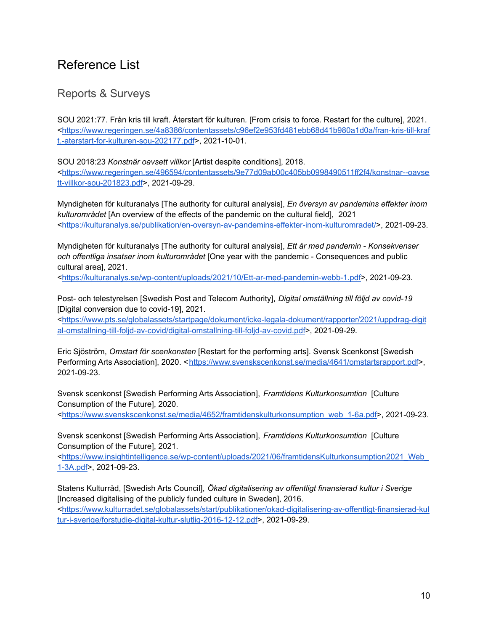# <span id="page-10-0"></span>Reference List

## <span id="page-10-1"></span>Reports & Surveys

SOU 2021:77. Från kris till kraft. Återstart för kulturen*.* [From crisis to force. Restart for the culture], 2021. <[https://www.regeringen.se/4a8386/contentassets/c96ef2e953fd481ebb68d41b980a1d0a/fran-kris-till-kraf](https://www.regeringen.se/4a8386/contentassets/c96ef2e953fd481ebb68d41b980a1d0a/fran-kris-till-kraft.-aterstart-for-kulturen-sou-202177.pdf) [t.-aterstart-for-kulturen-sou-202177.pdf](https://www.regeringen.se/4a8386/contentassets/c96ef2e953fd481ebb68d41b980a1d0a/fran-kris-till-kraft.-aterstart-for-kulturen-sou-202177.pdf)>, 2021-10-01.

SOU 2018:23 *Konstnär oavsett villkor* [Artist despite conditions], 2018.

<[https://www.regeringen.se/496594/contentassets/9e77d09ab00c405bb0998490511ff2f4/konstnar--oavse](https://www.regeringen.se/496594/contentassets/9e77d09ab00c405bb0998490511ff2f4/konstnar--oavsett-villkor-sou-201823.pdf) [tt-villkor-sou-201823.pdf](https://www.regeringen.se/496594/contentassets/9e77d09ab00c405bb0998490511ff2f4/konstnar--oavsett-villkor-sou-201823.pdf)>, 2021-09-29.

Myndigheten för kulturanalys [The authority for cultural analysis], *En översyn av pandemins effekter inom kulturområdet* [An overview of the effects of the pandemic on the cultural field], 2021 <<https://kulturanalys.se/publikation/en-oversyn-av-pandemins-effekter-inom-kulturomradet/>>, 2021-09-23.

Myndigheten för kulturanalys [The authority for cultural analysis], *Ett år med pandemin - Konsekvenser och offentliga insatser inom kulturområdet* [One year with the pandemic - Consequences and public cultural area], 2021.

<[https://kulturanalys.se/wp-content/uploads/2021/10/Ett-ar-med-pandemin-webb-1.pdf>](https://kulturanalys.se/wp-content/uploads/2021/10/Ett-ar-med-pandemin-webb-1.pdf), 2021-09-23.

Post- och telestyrelsen [Swedish Post and Telecom Authority], *Digital omställning till följd av covid-19* [Digital conversion due to covid-19], 2021.

<[https://www.pts.se/globalassets/startpage/dokument/icke-legala-dokument/rapporter/2021/uppdrag-digit](https://www.pts.se/globalassets/startpage/dokument/icke-legala-dokument/rapporter/2021/uppdrag-digital-omstallning-till-foljd-av-covid/digital-omstallning-till-foljd-av-covid.pdf) [al-omstallning-till-foljd-av-covid/digital-omstallning-till-foljd-av-covid.pdf](https://www.pts.se/globalassets/startpage/dokument/icke-legala-dokument/rapporter/2021/uppdrag-digital-omstallning-till-foljd-av-covid/digital-omstallning-till-foljd-av-covid.pdf)>, 2021-09-29.

Eric Sjöström, *Omstart för scenkonsten* [Restart for the performing arts]. Svensk Scenkonst [Swedish Performing Arts Association], 2020. <<https://www.svenskscenkonst.se/media/4641/omstartsrapport.pdf>>, 2021-09-23.

Svensk scenkonst [Swedish Performing Arts Association], *Framtidens Kulturkonsumtion* [Culture Consumption of the Future], 2020.

<[https://www.svenskscenkonst.se/media/4652/framtidenskulturkonsumption\\_web\\_1-6a.pdf>](https://www.svenskscenkonst.se/media/4652/framtidenskulturkonsumption_web_1-6a.pdf), 2021-09-23.

Svensk scenkonst [Swedish Performing Arts Association], *Framtidens Kulturkonsumtion* [Culture Consumption of the Future], 2021.

<[https://www.insightintelligence.se/wp-content/uploads/2021/06/framtidensKulturkonsumption2021\\_Web\\_](https://www.insightintelligence.se/wp-content/uploads/2021/06/framtidensKulturkonsumption2021_Web_1-3A.pdf) [1-3A.pdf>](https://www.insightintelligence.se/wp-content/uploads/2021/06/framtidensKulturkonsumption2021_Web_1-3A.pdf), 2021-09-23.

Statens Kulturråd, [Swedish Arts Council], *Ökad digitalisering av offentligt finansierad kultur i Sverige* [Increased digitalising of the publicly funded culture in Sweden], 2016. <[https://www.kulturradet.se/globalassets/start/publikationer/okad-digitalisering-av-offentligt-finansierad-kul](https://www.kulturradet.se/globalassets/start/publikationer/okad-digitalisering-av-offentligt-finansierad-kultur-i-sverige/forstudie-digital-kultur-slutlig-2016-12-12.pdf) [tur-i-sverige/forstudie-digital-kultur-slutlig-2016-12-12.pdf](https://www.kulturradet.se/globalassets/start/publikationer/okad-digitalisering-av-offentligt-finansierad-kultur-i-sverige/forstudie-digital-kultur-slutlig-2016-12-12.pdf)>, 2021-09-29.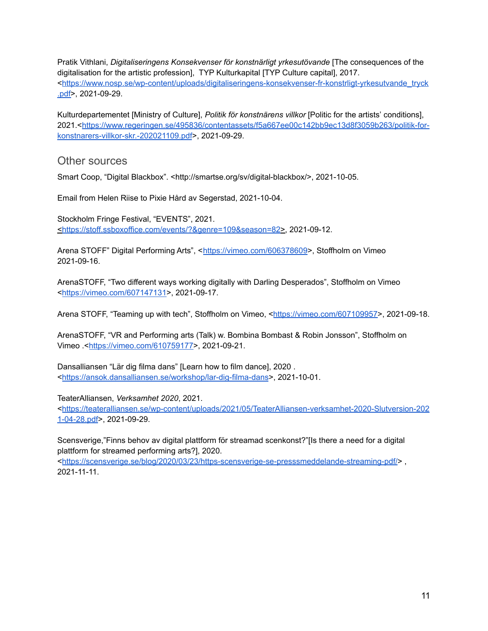Pratik Vithlani, *Digitaliseringens Konsekvenser för konstnärligt yrkesutövande* [The consequences of the digitalisation for the artistic profession], TYP Kulturkapital [TYP Culture capital], 2017. <[https://www.nosp.se/wp-content/uploads/digitaliseringens-konsekvenser-fr-konstrligt-yrkesutvande\\_tryck](https://www.nosp.se/wp-content/uploads/digitaliseringens-konsekvenser-fr-konstrligt-yrkesutvande_tryck.pdf) [.pdf>](https://www.nosp.se/wp-content/uploads/digitaliseringens-konsekvenser-fr-konstrligt-yrkesutvande_tryck.pdf), 2021-09-29.

Kulturdepartementet [Ministry of Culture], *Politik för konstnärens villkor* [Politic for the artists' conditions], 2021.<[https://www.regeringen.se/495836/contentassets/f5a667ee00c142bb9ec13d8f3059b263/politik-for](https://www.regeringen.se/495836/contentassets/f5a667ee00c142bb9ec13d8f3059b263/politik-for-konstnarers-villkor-skr.-202021109.pdf)[konstnarers-villkor-skr.-202021109.pdf](https://www.regeringen.se/495836/contentassets/f5a667ee00c142bb9ec13d8f3059b263/politik-for-konstnarers-villkor-skr.-202021109.pdf)>, 2021-09-29.

#### <span id="page-11-0"></span>Other sources

Smart Coop, "Digital Blackbox". <http://smartse.org/sv/digital-blackbox/>, 2021-10-05.

Email from Helen Riise to Pixie Hård av Segerstad, 2021-10-04.

Stockholm Fringe Festival, "EVENTS", 2021. <[https://stoff.ssboxoffice.com/events/?&genre=109&season=82>](https://stoff.ssboxoffice.com/events/?&genre=109&season=82), 2021-09-12.

Arena STOFF" Digital Performing Arts", <[https://vimeo.com/606378609>](https://vimeo.com/606378609), Stoffholm on Vimeo 2021-09-16.

ArenaSTOFF, "Two different ways working digitally with Darling Desperados", Stoffholm on Vimeo <[https://vimeo.com/607147131>](https://vimeo.com/607147131), 2021-09-17.

Arena STOFF, "Teaming up with tech", Stoffholm on Vimeo, <[https://vimeo.com/607109957>](https://vimeo.com/607109957), 2021-09-18.

ArenaSTOFF, "VR and Performing arts (Talk) w. Bombina Bombast & Robin Jonsson", Stoffholm on Vimeo .<[https://vimeo.com/610759177>](https://vimeo.com/610759177), 2021-09-21.

Dansalliansen "Lär dig filma dans" [Learn how to film dance], 2020 . <<https://ansok.dansalliansen.se/workshop/lar-dig-filma-dans>>, 2021-10-01.

TeaterAlliansen, *Verksamhet 2020*, 2021.

<[https://teateralliansen.se/wp-content/uploads/2021/05/TeaterAlliansen-verksamhet-2020-Slutversion-202](https://teateralliansen.se/wp-content/uploads/2021/05/TeaterAlliansen-verksamhet-2020-Slutversion-2021-04-28.pdf) [1-04-28.pdf](https://teateralliansen.se/wp-content/uploads/2021/05/TeaterAlliansen-verksamhet-2020-Slutversion-2021-04-28.pdf)>, 2021-09-29.

Scensverige,"Finns behov av digital plattform för streamad scenkonst?"[Is there a need for a digital plattform for streamed performing arts?], 2020.

<<https://scensverige.se/blog/2020/03/23/https-scensverige-se-presssmeddelande-streaming-pdf/>> , 2021-11-11.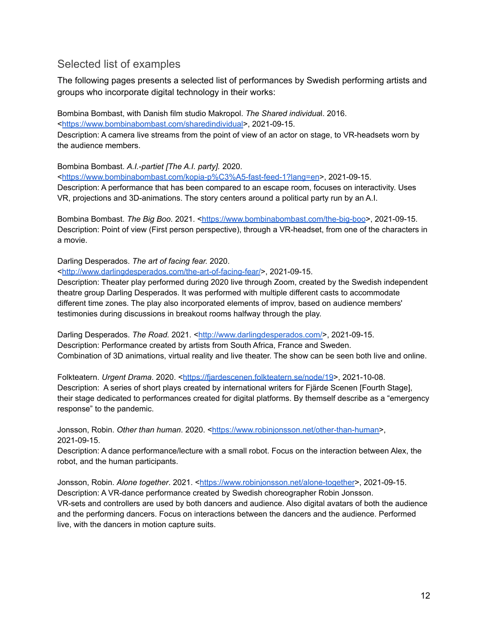### <span id="page-12-0"></span>Selected list of examples

The following pages presents a selected list of performances by Swedish performing artists and groups who incorporate digital technology in their works:

Bombina Bombast, with Danish film studio Makropol. *The Shared individua*l. 2016. <<https://www.bombinabombast.com/sharedindividual>>, 2021-09-15. Description: A camera live streams from the point of view of an actor on stage, to VR-headsets worn by the audience members.

Bombina Bombast. *A.I.-partiet [The A.I. party].* 2020.

<[https://www.bombinabombast.com/kopia-p%C3%A5-fast-feed-1?lang=en>](https://www.bombinabombast.com/kopia-p%C3%A5-fast-feed-1?lang=en), 2021-09-15. Description: A performance that has been compared to an escape room, focuses on interactivity. Uses VR, projections and 3D-animations. The story centers around a political party run by an A.I.

Bombina Bombast. *The Big Boo.* 2021. [<https://www.bombinabombast.com/the-big-boo](https://www.bombinabombast.com/the-big-boo)>, 2021-09-15. Description: Point of view (First person perspective), through a VR-headset, from one of the characters in a movie.

#### Darling Desperados. *The art of facing fear.* 2020.

<<http://www.darlingdesperados.com/the-art-of-facing-fear/>>, 2021-09-15.

Description: Theater play performed during 2020 live through Zoom, created by the Swedish independent theatre group Darling Desperados. It was performed with multiple different casts to accommodate different time zones. The play also incorporated elements of improv, based on audience members' testimonies during discussions in breakout rooms halfway through the play.

Darling Desperados. *The Road.* 2021. <[http://www.darlingdesperados.com/>](http://www.darlingdesperados.com/), 2021-09-15. Description: Performance created by artists from South Africa, France and Sweden. Combination of 3D animations, virtual reality and live theater. The show can be seen both live and online.

Folkteatern. *Urgent Drama*. 2020. <https://fiardescenen.folkteatern.se/node/19>, 2021-10-08. Description: A series of short plays created by international writers for Fiärde Scenen [Fourth Stage], their stage dedicated to performances created for digital platforms. By themself describe as a "emergency response" to the pandemic.

Jonsson, Robin. Other *than human*. 2020. [<https://www.robinjonsson.net/other-than-human>](https://www.robinjonsson.net/other-than-human), 2021-09-15.

Description: A dance performance/lecture with a small robot. Focus on the interaction between Alex, the robot, and the human participants.

Jonsson, Robin. *Alone together*. 2021. <<https://www.robinjonsson.net/alone-together>>, 2021-09-15. Description: A VR-dance performance created by Swedish choreographer Robin Jonsson. VR-sets and controllers are used by both dancers and audience. Also digital avatars of both the audience and the performing dancers. Focus on interactions between the dancers and the audience. Performed live, with the dancers in motion capture suits.